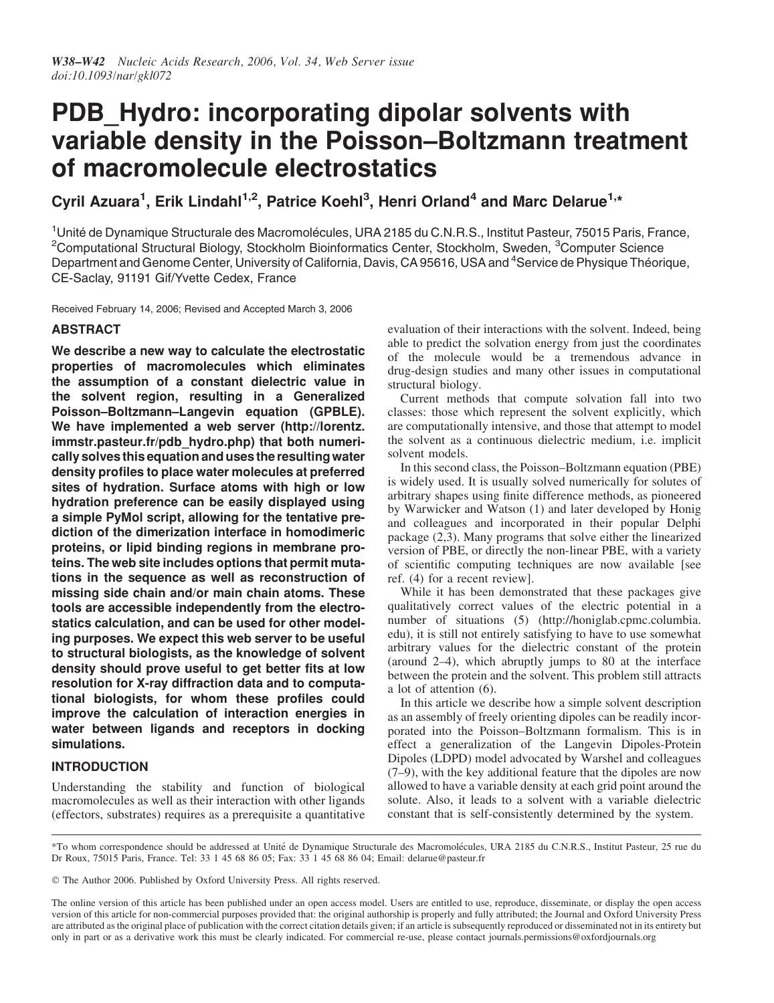# PDB Hydro: incorporating dipolar solvents with variable density in the Poisson–Boltzmann treatment of macromolecule electrostatics

Cyril Azuara<sup>1</sup>, Erik Lindahl<sup>1,2</sup>, Patrice Koehl<sup>3</sup>, Henri Orland<sup>4</sup> and Marc Delarue<sup>1,\*</sup>

<sup>1</sup>Unité de Dynamique Structurale des Macromolécules, URA 2185 du C.N.R.S., Institut Pasteur, 75015 Paris, France, <sup>2</sup>Computational Structural Biology, Stockholm Bioinformatics Center, Stockholm, Sweden, <sup>3</sup>Computer Science Department and Genome Center, University of California, Davis, CA 95616, USA and <sup>4</sup>Service de Physique Théorique, CE-Saclay, 91191 Gif/Yvette Cedex, France

Received February 14, 2006; Revised and Accepted March 3, 2006

## ABSTRACT

We describe a new way to calculate the electrostatic properties of macromolecules which eliminates the assumption of a constant dielectric value in the solvent region, resulting in a Generalized Poisson–Boltzmann–Langevin equation (GPBLE). We have implemented a web server (http://lorentz. immstr.pasteur.fr/pdb\_hydro.php) that both numerically solves this equation and uses the resulting water density profiles to place water molecules at preferred sites of hydration. Surface atoms with high or low hydration preference can be easily displayed using a simple PyMol script, allowing for the tentative prediction of the dimerization interface in homodimeric proteins, or lipid binding regions in membrane proteins. The web site includes options that permit mutations in the sequence as well as reconstruction of missing side chain and/or main chain atoms. These tools are accessible independently from the electrostatics calculation, and can be used for other modeling purposes. We expect this web server to be useful to structural biologists, as the knowledge of solvent density should prove useful to get better fits at low resolution for X-ray diffraction data and to computational biologists, for whom these profiles could improve the calculation of interaction energies in water between ligands and receptors in docking simulations.

## INTRODUCTION

Understanding the stability and function of biological macromolecules as well as their interaction with other ligands (effectors, substrates) requires as a prerequisite a quantitative evaluation of their interactions with the solvent. Indeed, being able to predict the solvation energy from just the coordinates of the molecule would be a tremendous advance in drug-design studies and many other issues in computational structural biology.

Current methods that compute solvation fall into two classes: those which represent the solvent explicitly, which are computationally intensive, and those that attempt to model the solvent as a continuous dielectric medium, i.e. implicit solvent models.

In this second class, the Poisson–Boltzmann equation (PBE) is widely used. It is usually solved numerically for solutes of arbitrary shapes using finite difference methods, as pioneered by Warwicker and Watson (1) and later developed by Honig and colleagues and incorporated in their popular Delphi package (2,3). Many programs that solve either the linearized version of PBE, or directly the non-linear PBE, with a variety of scientific computing techniques are now available [see ref. (4) for a recent review].

While it has been demonstrated that these packages give qualitatively correct values of the electric potential in a number of situations (5) (http://honiglab.cpmc.columbia. edu), it is still not entirely satisfying to have to use somewhat arbitrary values for the dielectric constant of the protein (around 2–4), which abruptly jumps to 80 at the interface between the protein and the solvent. This problem still attracts a lot of attention (6).

In this article we describe how a simple solvent description as an assembly of freely orienting dipoles can be readily incorporated into the Poisson–Boltzmann formalism. This is in effect a generalization of the Langevin Dipoles-Protein Dipoles (LDPD) model advocated by Warshel and colleagues (7–9), with the key additional feature that the dipoles are now allowed to have a variable density at each grid point around the solute. Also, it leads to a solvent with a variable dielectric constant that is self-consistently determined by the system.

\*To whom correspondence should be addressed at Unite´ de Dynamique Structurale des Macromole´cules, URA 2185 du C.N.R.S., Institut Pasteur, 25 rue du Dr Roux, 75015 Paris, France. Tel: 33 1 45 68 86 05; Fax: 33 1 45 68 86 04; Email: delarue@pasteur.fr

The Author 2006. Published by Oxford University Press. All rights reserved.

The online version of this article has been published under an open access model. Users are entitled to use, reproduce, disseminate, or display the open access version of this article for non-commercial purposes provided that: the original authorship is properly and fully attributed; the Journal and Oxford University Press are attributed as the original place of publication with the correct citation details given; if an article is subsequently reproduced or disseminated not in its entirety but only in part or as a derivative work this must be clearly indicated. For commercial re-use, please contact journals.permissions@oxfordjournals.org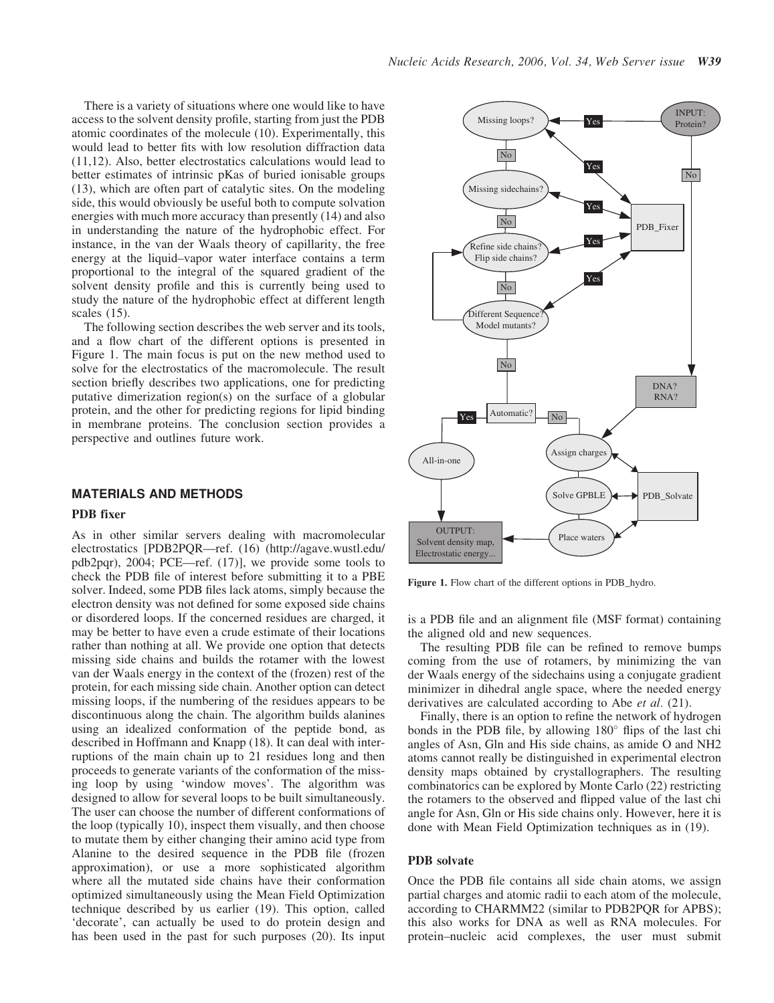There is a variety of situations where one would like to have access to the solvent density profile, starting from just the PDB atomic coordinates of the molecule (10). Experimentally, this would lead to better fits with low resolution diffraction data (11,12). Also, better electrostatics calculations would lead to better estimates of intrinsic pKas of buried ionisable groups (13), which are often part of catalytic sites. On the modeling side, this would obviously be useful both to compute solvation energies with much more accuracy than presently (14) and also in understanding the nature of the hydrophobic effect. For instance, in the van der Waals theory of capillarity, the free energy at the liquid–vapor water interface contains a term proportional to the integral of the squared gradient of the solvent density profile and this is currently being used to study the nature of the hydrophobic effect at different length scales (15).

The following section describes the web server and its tools, and a flow chart of the different options is presented in Figure 1. The main focus is put on the new method used to solve for the electrostatics of the macromolecule. The result section briefly describes two applications, one for predicting putative dimerization region(s) on the surface of a globular protein, and the other for predicting regions for lipid binding in membrane proteins. The conclusion section provides a perspective and outlines future work.

#### MATERIALS AND METHODS

#### PDB fixer

As in other similar servers dealing with macromolecular electrostatics [PDB2PQR—ref. (16) (http://agave.wustl.edu/ pdb2pqr), 2004; PCE—ref. (17)], we provide some tools to check the PDB file of interest before submitting it to a PBE solver. Indeed, some PDB files lack atoms, simply because the electron density was not defined for some exposed side chains or disordered loops. If the concerned residues are charged, it may be better to have even a crude estimate of their locations rather than nothing at all. We provide one option that detects missing side chains and builds the rotamer with the lowest van der Waals energy in the context of the (frozen) rest of the protein, for each missing side chain. Another option can detect missing loops, if the numbering of the residues appears to be discontinuous along the chain. The algorithm builds alanines using an idealized conformation of the peptide bond, as described in Hoffmann and Knapp (18). It can deal with interruptions of the main chain up to 21 residues long and then proceeds to generate variants of the conformation of the missing loop by using 'window moves'. The algorithm was designed to allow for several loops to be built simultaneously. The user can choose the number of different conformations of the loop (typically 10), inspect them visually, and then choose to mutate them by either changing their amino acid type from Alanine to the desired sequence in the PDB file (frozen approximation), or use a more sophisticated algorithm where all the mutated side chains have their conformation optimized simultaneously using the Mean Field Optimization technique described by us earlier (19). This option, called 'decorate', can actually be used to do protein design and has been used in the past for such purposes (20). Its input



Figure 1. Flow chart of the different options in PDB hydro.

is a PDB file and an alignment file (MSF format) containing the aligned old and new sequences.

The resulting PDB file can be refined to remove bumps coming from the use of rotamers, by minimizing the van der Waals energy of the sidechains using a conjugate gradient minimizer in dihedral angle space, where the needed energy derivatives are calculated according to Abe et al. (21).

Finally, there is an option to refine the network of hydrogen bonds in the PDB file, by allowing  $180^\circ$  flips of the last chi angles of Asn, Gln and His side chains, as amide O and NH2 atoms cannot really be distinguished in experimental electron density maps obtained by crystallographers. The resulting combinatorics can be explored by Monte Carlo (22) restricting the rotamers to the observed and flipped value of the last chi angle for Asn, Gln or His side chains only. However, here it is done with Mean Field Optimization techniques as in (19).

#### PDB solvate

Once the PDB file contains all side chain atoms, we assign partial charges and atomic radii to each atom of the molecule, according to CHARMM22 (similar to PDB2PQR for APBS); this also works for DNA as well as RNA molecules. For protein–nucleic acid complexes, the user must submit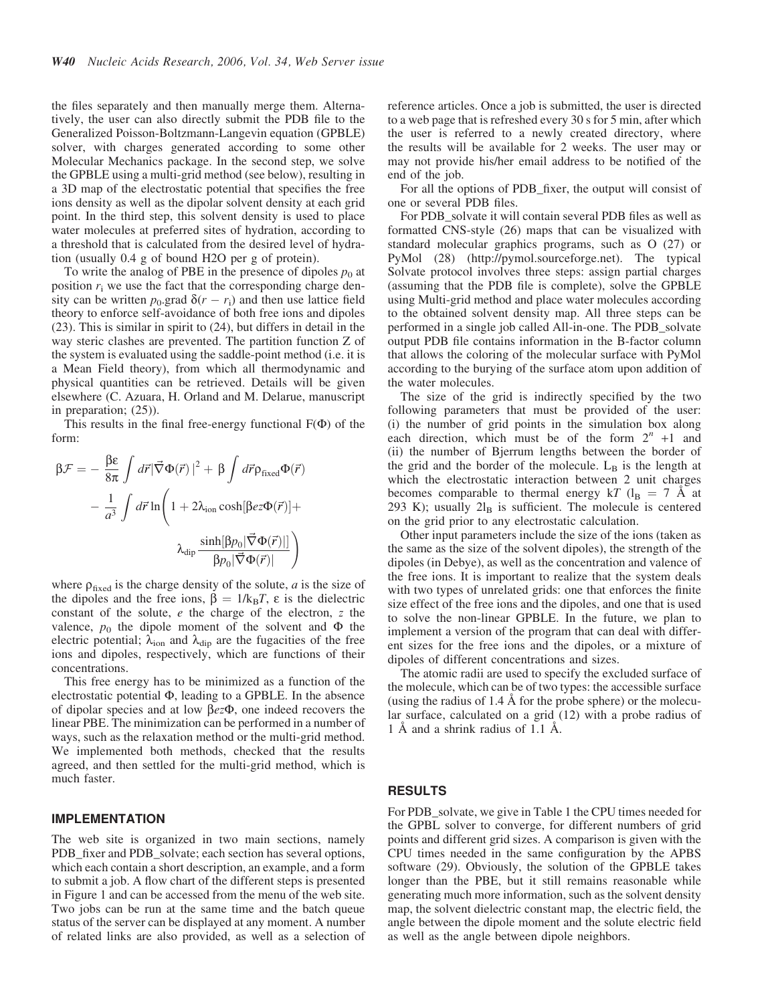the files separately and then manually merge them. Alternatively, the user can also directly submit the PDB file to the Generalized Poisson-Boltzmann-Langevin equation (GPBLE) solver, with charges generated according to some other Molecular Mechanics package. In the second step, we solve the GPBLE using a multi-grid method (see below), resulting in a 3D map of the electrostatic potential that specifies the free ions density as well as the dipolar solvent density at each grid point. In the third step, this solvent density is used to place water molecules at preferred sites of hydration, according to a threshold that is calculated from the desired level of hydration (usually 0.4 g of bound H2O per g of protein).

To write the analog of PBE in the presence of dipoles  $p_0$  at position  $r_i$  we use the fact that the corresponding charge density can be written  $p_0$  grad  $\delta(r - r_i)$  and then use lattice field theory to enforce self-avoidance of both free ions and dipoles (23). This is similar in spirit to (24), but differs in detail in the way steric clashes are prevented. The partition function Z of the system is evaluated using the saddle-point method (i.e. it is a Mean Field theory), from which all thermodynamic and physical quantities can be retrieved. Details will be given elsewhere (C. Azuara, H. Orland and M. Delarue, manuscript in preparation; (25)).

This results in the final free-energy functional  $F(\Phi)$  of the form:

$$
\beta \mathcal{F} = -\frac{\beta \varepsilon}{8\pi} \int d\vec{r} |\vec{\nabla} \Phi(\vec{r})|^2 + \beta \int d\vec{r} \rho_{\text{fixed}} \Phi(\vec{r})
$$

$$
- \frac{1}{a^3} \int d\vec{r} \ln \left( 1 + 2\lambda_{\text{ion}} \cosh[\beta e \mathcal{Z} \Phi(\vec{r})] + \lambda_{\text{dip}} \frac{\sinh[\beta p_0 |\vec{\nabla} \Phi(\vec{r})|]}{\beta p_0 |\vec{\nabla} \Phi(\vec{r})|} \right)
$$

where  $\rho_{\text{fixed}}$  is the charge density of the solute, *a* is the size of the dipoles and the free ions,  $\beta = 1/k_B T$ ,  $\varepsilon$  is the dielectric constant of the solute, e the charge of the electron, z the valence,  $p_0$  the dipole moment of the solvent and  $\Phi$  the electric potential;  $\lambda_{ion}$  and  $\lambda_{dip}$  are the fugacities of the free ions and dipoles, respectively, which are functions of their concentrations.

This free energy has to be minimized as a function of the electrostatic potential  $\Phi$ , leading to a GPBLE. In the absence of dipolar species and at low  $\beta e z \Phi$ , one indeed recovers the linear PBE. The minimization can be performed in a number of ways, such as the relaxation method or the multi-grid method. We implemented both methods, checked that the results agreed, and then settled for the multi-grid method, which is much faster.

#### IMPLEMENTATION

The web site is organized in two main sections, namely PDB\_fixer and PDB\_solvate; each section has several options, which each contain a short description, an example, and a form to submit a job. A flow chart of the different steps is presented in Figure 1 and can be accessed from the menu of the web site. Two jobs can be run at the same time and the batch queue status of the server can be displayed at any moment. A number of related links are also provided, as well as a selection of reference articles. Once a job is submitted, the user is directed to a web page that is refreshed every 30 s for 5 min, after which the user is referred to a newly created directory, where the results will be available for 2 weeks. The user may or may not provide his/her email address to be notified of the end of the job.

For all the options of PDB\_fixer, the output will consist of one or several PDB files.

For PDB solvate it will contain several PDB files as well as formatted CNS-style (26) maps that can be visualized with standard molecular graphics programs, such as O (27) or PyMol (28) (http://pymol.sourceforge.net). The typical Solvate protocol involves three steps: assign partial charges (assuming that the PDB file is complete), solve the GPBLE using Multi-grid method and place water molecules according to the obtained solvent density map. All three steps can be performed in a single job called All-in-one. The PDB\_solvate output PDB file contains information in the B-factor column that allows the coloring of the molecular surface with PyMol according to the burying of the surface atom upon addition of the water molecules.

The size of the grid is indirectly specified by the two following parameters that must be provided of the user: (i) the number of grid points in the simulation box along each direction, which must be of the form  $2^n +1$  and (ii) the number of Bjerrum lengths between the border of the grid and the border of the molecule.  $L_B$  is the length at which the electrostatic interaction between 2 unit charges becomes comparable to thermal energy kT ( $l_B$  = 7 Å at 293 K); usually  $2l_B$  is sufficient. The molecule is centered on the grid prior to any electrostatic calculation.

Other input parameters include the size of the ions (taken as the same as the size of the solvent dipoles), the strength of the dipoles (in Debye), as well as the concentration and valence of the free ions. It is important to realize that the system deals with two types of unrelated grids: one that enforces the finite size effect of the free ions and the dipoles, and one that is used to solve the non-linear GPBLE. In the future, we plan to implement a version of the program that can deal with different sizes for the free ions and the dipoles, or a mixture of dipoles of different concentrations and sizes.

The atomic radii are used to specify the excluded surface of the molecule, which can be of two types: the accessible surface (using the radius of  $1.4 \text{ Å}$  for the probe sphere) or the molecular surface, calculated on a grid (12) with a probe radius of 1 Å and a shrink radius of 1.1 Å.

#### RESULTS

For PDB\_solvate, we give in Table 1 the CPU times needed for the GPBL solver to converge, for different numbers of grid points and different grid sizes. A comparison is given with the CPU times needed in the same configuration by the APBS software (29). Obviously, the solution of the GPBLE takes longer than the PBE, but it still remains reasonable while generating much more information, such as the solvent density map, the solvent dielectric constant map, the electric field, the angle between the dipole moment and the solute electric field as well as the angle between dipole neighbors.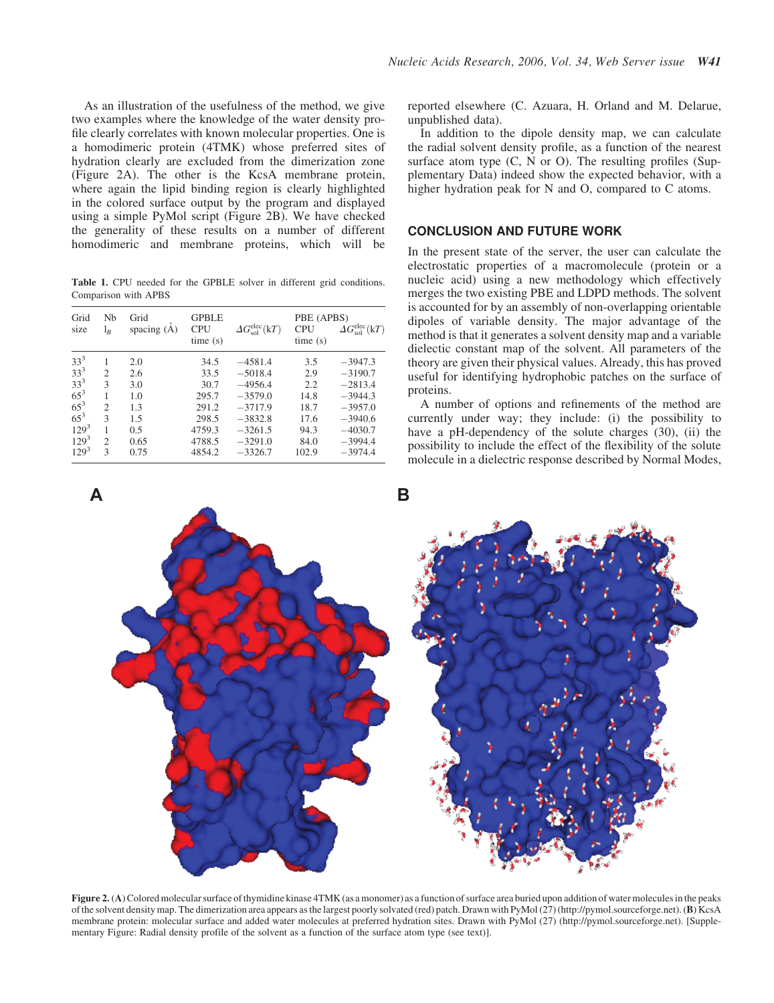As an illustration of the usefulness of the method, we give two examples where the knowledge of the water density profile clearly correlates with known molecular properties. One is a homodimeric protein (4TMK) whose preferred sites of hydration clearly are excluded from the dimerization zone (Figure 2A). The other is the KcsA membrane protein, where again the lipid binding region is clearly highlighted in the colored surface output by the program and displayed using a simple PyMol script (Figure 2B). We have checked the generality of these results on a number of different homodimeric and membrane proteins, which will be

Table 1. CPU needed for the GPBLE solver in different grid conditions. Comparison with APBS

| Grid<br>size    | Nh<br>$\mathrm{l}_B$ | Grid<br>spacing $(A)$ | <b>GPBLE</b><br><b>CPU</b><br>time(s) | $\Delta G_{\rm sol}^{\rm elec}({\rm k}T)$ | PBE (APBS)<br><b>CPU</b><br>time(s) | $\Delta G_{\rm sol}^{\rm elec}({\rm k}T)$ |
|-----------------|----------------------|-----------------------|---------------------------------------|-------------------------------------------|-------------------------------------|-------------------------------------------|
| $33^3$          | 1                    | 2.0                   | 34.5                                  | $-4581.4$                                 | 3.5                                 | $-3947.3$                                 |
| $33^3$          | $\mathfrak{D}$       | 2.6                   | 33.5                                  | $-5018.4$                                 | 2.9                                 | $-3190.7$                                 |
| 33 <sup>3</sup> | 3                    | 3.0                   | 30.7                                  | $-4956.4$                                 | 2.2                                 | $-2813.4$                                 |
| $65^{3}$        | 1                    | 1.0                   | 295.7                                 | $-3579.0$                                 | 14.8                                | $-3944.3$                                 |
| $65^{3}$        | $\overline{c}$       | 1.3                   | 291.2                                 | $-3717.9$                                 | 18.7                                | $-3957.0$                                 |
| $65^{3}$        | 3                    | 1.5                   | 298.5                                 | $-3832.8$                                 | 17.6                                | $-3940.6$                                 |
| $129^{3}$       | 1                    | 0.5                   | 4759.3                                | $-3261.5$                                 | 94.3                                | $-4030.7$                                 |
| $129^3$         | $\overline{c}$       | 0.65                  | 4788.5                                | $-3291.0$                                 | 84.0                                | $-3994.4$                                 |
| $129^3$         | 3                    | 0.75                  | 4854.2                                | $-3326.7$                                 | 102.9                               | $-3974.4$                                 |

reported elsewhere (C. Azuara, H. Orland and M. Delarue, unpublished data).

In addition to the dipole density map, we can calculate the radial solvent density profile, as a function of the nearest surface atom type  $(C, N \text{ or } O)$ . The resulting profiles (Supplementary Data) indeed show the expected behavior, with a higher hydration peak for N and O, compared to C atoms.

#### CONCLUSION AND FUTURE WORK

In the present state of the server, the user can calculate the electrostatic properties of a macromolecule (protein or a nucleic acid) using a new methodology which effectively merges the two existing PBE and LDPD methods. The solvent is accounted for by an assembly of non-overlapping orientable dipoles of variable density. The major advantage of the method is that it generates a solvent density map and a variable dielectic constant map of the solvent. All parameters of the theory are given their physical values. Already, this has proved useful for identifying hydrophobic patches on the surface of proteins.

A number of options and refinements of the method are currently under way; they include: (i) the possibility to have a pH-dependency of the solute charges (30), (ii) the possibility to include the effect of the flexibility of the solute molecule in a dielectric response described by Normal Modes,



Figure 2. (A) Colored molecular surface of thymidine kinase 4TMK (as a monomer) as a function of surface area buried upon addition of water molecules in the peaks of the solvent density map. The dimerization area appears as the largest poorly solvated (red) patch. Drawn with PyMol  $(27)$  (http://pymol.sourceforge.net). (B) KcsA membrane protein: molecular surface and added water molecules at preferred hydration sites. Drawn with PyMol (27) (http://pymol.sourceforge.net). [Supplementary Figure: Radial density profile of the solvent as a function of the surface atom type (see text)].